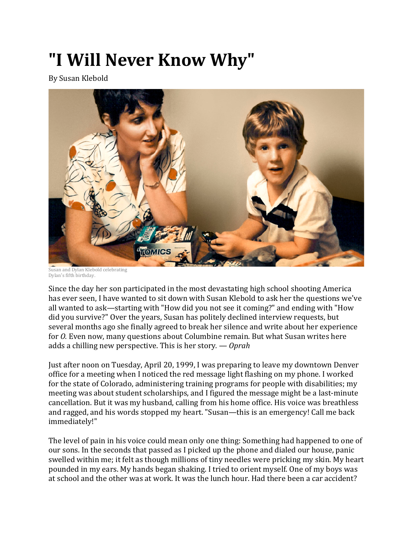## **"I Will Never Know Why"**

By Susan Klebold



Susan and Dylan Klebold celebrating Dylan's fifth birthday.

Since the day her son participated in the most devastating high school shooting America has ever seen, I have wanted to sit down with Susan Klebold to ask her the questions we've all wanted to ask—starting with "How did you not see it coming?" and ending with "How did you survive?" Over the years, Susan has politely declined interview requests, but several months ago she finally agreed to break her silence and write about her experience for *O.* Even now, many questions about Columbine remain. But what Susan writes here adds a chilling new perspective. This is her story*. — Oprah*

Just after noon on Tuesday, April 20, 1999, I was preparing to leave my downtown Denver office for a meeting when I noticed the red message light flashing on my phone. I worked for the state of Colorado, administering training programs for people with disabilities; my meeting was about student scholarships, and I figured the message might be a last-minute cancellation. But it was my husband, calling from his home office. His voice was breathless and ragged, and his words stopped my heart. "Susan—this is an emergency! Call me back immediately!"

The level of pain in his voice could mean only one thing: Something had happened to one of our sons. In the seconds that passed as I picked up the phone and dialed our house, panic swelled within me; it felt as though millions of tiny needles were pricking my skin. My heart pounded in my ears. My hands began shaking. I tried to orient myself. One of my boys was at school and the other was at work. It was the lunch hour. Had there been a car accident?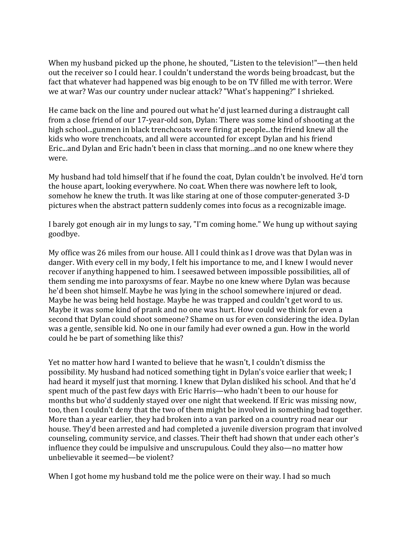When my husband picked up the phone, he shouted, "Listen to the television!"—then held out the receiver so I could hear. I couldn't understand the words being broadcast, but the fact that whatever had happened was big enough to be on TV filled me with terror. Were we at war? Was our country under nuclear attack? "What's happening?" I shrieked.

He came back on the line and poured out what he'd just learned during a distraught call from a close friend of our 17-year-old son, Dylan: There was some kind of shooting at the high school...gunmen in black trenchcoats were firing at people...the friend knew all the kids who wore trenchcoats, and all were accounted for except Dylan and his friend Eric...and Dylan and Eric hadn't been in class that morning...and no one knew where they were.

My husband had told himself that if he found the coat, Dylan couldn't be involved. He'd torn the house apart, looking everywhere. No coat. When there was nowhere left to look, somehow he knew the truth. It was like staring at one of those computer-generated 3-D pictures when the abstract pattern suddenly comes into focus as a recognizable image.

I barely got enough air in my lungs to say, "I'm coming home." We hung up without saying goodbye.

My office was 26 miles from our house. All I could think as I drove was that Dylan was in danger. With every cell in my body, I felt his importance to me, and I knew I would never recover if anything happened to him. I seesawed between impossible possibilities, all of them sending me into paroxysms of fear. Maybe no one knew where Dylan was because he'd been shot himself. Maybe he was lying in the school somewhere injured or dead. Maybe he was being held hostage. Maybe he was trapped and couldn't get word to us. Maybe it was some kind of prank and no one was hurt. How could we think for even a second that Dylan could shoot someone? Shame on us for even considering the idea. Dylan was a gentle, sensible kid. No one in our family had ever owned a gun. How in the world could he be part of something like this?

Yet no matter how hard I wanted to believe that he wasn't, I couldn't dismiss the possibility. My husband had noticed something tight in Dylan's voice earlier that week; I had heard it myself just that morning. I knew that Dylan disliked his school. And that he'd spent much of the past few days with Eric Harris—who hadn't been to our house for months but who'd suddenly stayed over one night that weekend. If Eric was missing now, too, then I couldn't deny that the two of them might be involved in something bad together. More than a year earlier, they had broken into a van parked on a country road near our house. They'd been arrested and had completed a juvenile diversion program that involved counseling, community service, and classes. Their theft had shown that under each other's influence they could be impulsive and unscrupulous. Could they also—no matter how unbelievable it seemed—be violent?

When I got home my husband told me the police were on their way. I had so much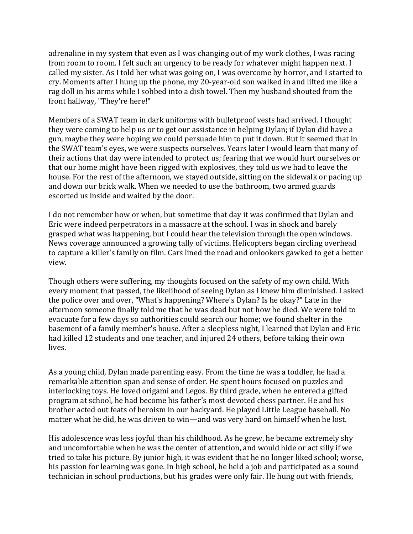adrenaline in my system that even as I was changing out of my work clothes, I was racing from room to room. I felt such an urgency to be ready for whatever might happen next. I called my sister. As I told her what was going on, I was overcome by horror, and I started to cry. Moments after I hung up the phone, my 20-year-old son walked in and lifted me like a rag doll in his arms while I sobbed into a dish towel. Then my husband shouted from the front hallway, "They're here!"

Members of a SWAT team in dark uniforms with bulletproof vests had arrived. I thought they were coming to help us or to get our assistance in helping Dylan; if Dylan did have a gun, maybe they were hoping we could persuade him to put it down. But it seemed that in the SWAT team's eyes, we were suspects ourselves. Years later I would learn that many of their actions that day were intended to protect us; fearing that we would hurt ourselves or that our home might have been rigged with explosives, they told us we had to leave the house. For the rest of the afternoon, we stayed outside, sitting on the sidewalk or pacing up and down our brick walk. When we needed to use the bathroom, two armed guards escorted us inside and waited by the door.

I do not remember how or when, but sometime that day it was confirmed that Dylan and Eric were indeed perpetrators in a massacre at the school. I was in shock and barely grasped what was happening, but I could hear the television through the open windows. News coverage announced a growing tally of victims. Helicopters began circling overhead to capture a killer's family on film. Cars lined the road and onlookers gawked to get a better view.

Though others were suffering, my thoughts focused on the safety of my own child. With every moment that passed, the likelihood of seeing Dylan as I knew him diminished. I asked the police over and over, "What's happening? Where's Dylan? Is he okay?" Late in the afternoon someone finally told me that he was dead but not how he died. We were told to evacuate for a few days so authorities could search our home; we found shelter in the basement of a family member's house. After a sleepless night, I learned that Dylan and Eric had killed 12 students and one teacher, and injured 24 others, before taking their own lives.

As a young child, Dylan made parenting easy. From the time he was a toddler, he had a remarkable attention span and sense of order. He spent hours focused on puzzles and interlocking toys. He loved origami and Legos. By third grade, when he entered a gifted program at school, he had become his father's most devoted chess partner. He and his brother acted out feats of heroism in our backyard. He played Little League baseball. No matter what he did, he was driven to win—and was very hard on himself when he lost.

His adolescence was less joyful than his childhood. As he grew, he became extremely shy and uncomfortable when he was the center of attention, and would hide or act silly if we tried to take his picture. By junior high, it was evident that he no longer liked school; worse, his passion for learning was gone. In high school, he held a job and participated as a sound technician in school productions, but his grades were only fair. He hung out with friends,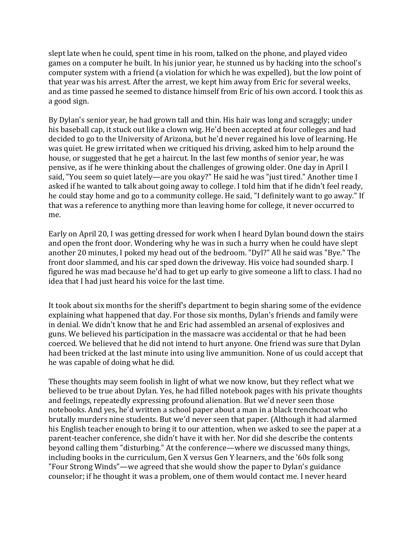slept late when he could, spent time in his room, talked on the phone, and played video games on a computer he built. In his junior year, he stunned us by hacking into the school's computer system with a friend (a violation for which he was expelled), but the low point of that year was his arrest. After the arrest, we kept him away from Eric for several weeks, and as time passed he seemed to distance himself from Eric of his own accord. I took this as a good sign.

By Dylan's senior year, he had grown tall and thin. His hair was long and scraggly; under his baseball cap, it stuck out like a clown wig. He'd been accepted at four colleges and had decided to go to the University of Arizona, but he'd never regained his love of learning. He was quiet. He grew irritated when we critiqued his driving, asked him to help around the house, or suggested that he get a haircut. In the last few months of senior year, he was pensive, as if he were thinking about the challenges of growing older. One day in April I said, "You seem so quiet lately—are you okay?" He said he was "just tired." Another time I asked if he wanted to talk about going away to college. I told him that if he didn't feel ready, he could stay home and go to a community college. He said, "I definitely want to go away." If that was a reference to anything more than leaving home for college, it never occurred to me.

Early on April 20, I was getting dressed for work when I heard Dylan bound down the stairs and open the front door. Wondering why he was in such a hurry when he could have slept another 20 minutes, I poked my head out of the bedroom. "Dyl?" All he said was "Bye." The front door slammed, and his car sped down the driveway. His voice had sounded sharp. I figured he was mad because he'd had to get up early to give someone a lift to class. I had no idea that I had just heard his voice for the last time.

It took about six months for the sheriff's department to begin sharing some of the evidence explaining what happened that day. For those six months, Dylan's friends and family were in denial. We didn't know that he and Eric had assembled an arsenal of explosives and guns. We believed his participation in the massacre was accidental or that he had been coerced. We believed that he did not intend to hurt anyone. One friend was sure that Dylan had been tricked at the last minute into using live ammunition. None of us could accept that he was capable of doing what he did.

These thoughts may seem foolish in light of what we now know, but they reflect what we believed to be true about Dylan. Yes, he had filled notebook pages with his private thoughts and feelings, repeatedly expressing profound alienation. But we'd never seen those notebooks. And yes, he'd written a school paper about a man in a black trenchcoat who brutally murders nine students. But we'd never seen that paper. (Although it had alarmed his English teacher enough to bring it to our attention, when we asked to see the paper at a parent-teacher conference, she didn't have it with her. Nor did she describe the contents beyond calling them "disturbing." At the conference—where we discussed many things, including books in the curriculum, Gen X versus Gen Y learners, and the '60s folk song "Four Strong Winds"—we agreed that she would show the paper to Dylan's guidance counselor; if he thought it was a problem, one of them would contact me. I never heard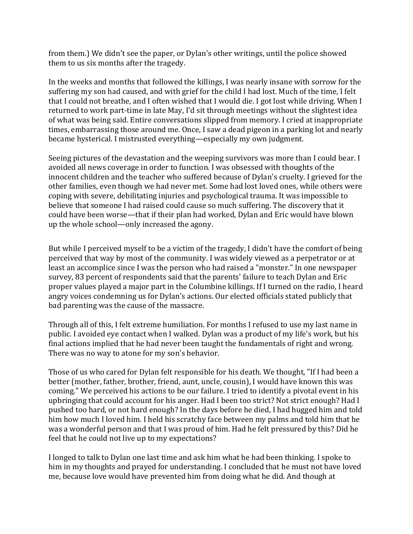from them.) We didn't see the paper, or Dylan's other writings, until the police showed them to us six months after the tragedy.

In the weeks and months that followed the killings, I was nearly insane with sorrow for the suffering my son had caused, and with grief for the child I had lost. Much of the time, I felt that I could not breathe, and I often wished that I would die. I got lost while driving. When I returned to work part-time in late May, I'd sit through meetings without the slightest idea of what was being said. Entire conversations slipped from memory. I cried at inappropriate times, embarrassing those around me. Once, I saw a dead pigeon in a parking lot and nearly became hysterical. I mistrusted everything—especially my own judgment.

Seeing pictures of the devastation and the weeping survivors was more than I could bear. I avoided all news coverage in order to function. I was obsessed with thoughts of the innocent children and the teacher who suffered because of Dylan's cruelty. I grieved for the other families, even though we had never met. Some had lost loved ones, while others were coping with severe, debilitating injuries and psychological trauma. It was impossible to believe that someone I had raised could cause so much suffering. The discovery that it could have been worse—that if their plan had worked, Dylan and Eric would have blown up the whole school—only increased the agony.

But while I perceived myself to be a victim of the tragedy, I didn't have the comfort of being perceived that way by most of the community. I was widely viewed as a perpetrator or at least an accomplice since I was the person who had raised a "monster." In one newspaper survey, 83 percent of respondents said that the parents' failure to teach Dylan and Eric proper values played a major part in the Columbine killings. If I turned on the radio, I heard angry voices condemning us for Dylan's actions. Our elected officials stated publicly that bad parenting was the cause of the massacre.

Through all of this, I felt extreme humiliation. For months I refused to use my last name in public. I avoided eye contact when I walked. Dylan was a product of my life's work, but his final actions implied that he had never been taught the fundamentals of right and wrong. There was no way to atone for my son's behavior.

Those of us who cared for Dylan felt responsible for his death. We thought, "If I had been a better (mother, father, brother, friend, aunt, uncle, cousin), I would have known this was coming." We perceived his actions to be our failure. I tried to identify a pivotal event in his upbringing that could account for his anger. Had I been too strict? Not strict enough? Had I pushed too hard, or not hard enough? In the days before he died, I had hugged him and told him how much I loved him. I held his scratchy face between my palms and told him that he was a wonderful person and that I was proud of him. Had he felt pressured by this? Did he feel that he could not live up to my expectations?

I longed to talk to Dylan one last time and ask him what he had been thinking. I spoke to him in my thoughts and prayed for understanding. I concluded that he must not have loved me, because love would have prevented him from doing what he did. And though at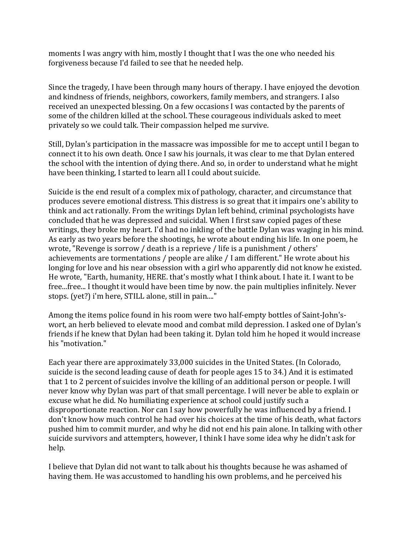moments I was angry with him, mostly I thought that I was the one who needed his forgiveness because I'd failed to see that he needed help.

Since the tragedy, I have been through many hours of therapy. I have enjoyed the devotion and kindness of friends, neighbors, coworkers, family members, and strangers. I also received an unexpected blessing. On a few occasions I was contacted by the parents of some of the children killed at the school. These courageous individuals asked to meet privately so we could talk. Their compassion helped me survive.

Still, Dylan's participation in the massacre was impossible for me to accept until I began to connect it to his own death. Once I saw his journals, it was clear to me that Dylan entered the school with the intention of dying there. And so, in order to understand what he might have been thinking, I started to learn all I could about suicide.

Suicide is the end result of a complex mix of pathology, character, and circumstance that produces severe emotional distress. This distress is so great that it impairs one's ability to think and act rationally. From the writings Dylan left behind, criminal psychologists have concluded that he was depressed and suicidal. When I first saw copied pages of these writings, they broke my heart. I'd had no inkling of the battle Dylan was waging in his mind. As early as two years before the shootings, he wrote about ending his life. In one poem, he wrote, "Revenge is sorrow / death is a reprieve / life is a punishment / others' achievements are tormentations / people are alike / I am different." He wrote about his longing for love and his near obsession with a girl who apparently did not know he existed. He wrote, "Earth, humanity, HERE. that's mostly what I think about. I hate it. I want to be free...free... I thought it would have been time by now. the pain multiplies infinitely. Never stops. (yet?) i'm here, STILL alone, still in pain...."

Among the items police found in his room were two half-empty bottles of Saint-John'swort, an herb believed to elevate mood and combat mild depression. I asked one of Dylan's friends if he knew that Dylan had been taking it. Dylan told him he hoped it would increase his "motivation."

Each year there are approximately 33,000 suicides in the United States. (In Colorado, suicide is the second leading cause of death for people ages 15 to 34.) And it is estimated that 1 to 2 percent of suicides involve the killing of an additional person or people. I will never know why Dylan was part of that small percentage. I will never be able to explain or excuse what he did. No humiliating experience at school could justify such a disproportionate reaction. Nor can I say how powerfully he was influenced by a friend. I don't know how much control he had over his choices at the time of his death, what factors pushed him to commit murder, and why he did not end his pain alone. In talking with other suicide survivors and attempters, however, I think I have some idea why he didn't ask for help.

I believe that Dylan did not want to talk about his thoughts because he was ashamed of having them. He was accustomed to handling his own problems, and he perceived his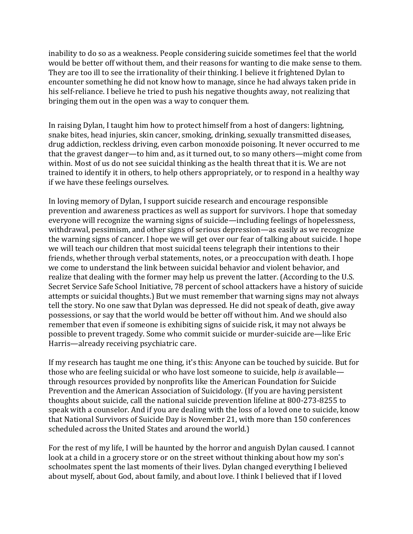inability to do so as a weakness. People considering suicide sometimes feel that the world would be better off without them, and their reasons for wanting to die make sense to them. They are too ill to see the irrationality of their thinking. I believe it frightened Dylan to encounter something he did not know how to manage, since he had always taken pride in his self-reliance. I believe he tried to push his negative thoughts away, not realizing that bringing them out in the open was a way to conquer them.

In raising Dylan, I taught him how to protect himself from a host of dangers: lightning, snake bites, head injuries, skin cancer, smoking, drinking, sexually transmitted diseases, drug addiction, reckless driving, even carbon monoxide poisoning. It never occurred to me that the gravest danger—to him and, as it turned out, to so many others—might come from within. Most of us do not see suicidal thinking as the health threat that it is. We are not trained to identify it in others, to help others appropriately, or to respond in a healthy way if we have these feelings ourselves.

In loving memory of Dylan, I support suicide research and encourage responsible prevention and awareness practices as well as support for survivors. I hope that someday everyone will recognize the warning signs of suicide—including feelings of hopelessness, withdrawal, pessimism, and other signs of serious depression—as easily as we recognize the warning signs of cancer. I hope we will get over our fear of talking about suicide. I hope we will teach our children that most suicidal teens telegraph their intentions to their friends, whether through verbal statements, notes, or a preoccupation with death. I hope we come to understand the link between suicidal behavior and violent behavior, and realize that dealing with the former may help us prevent the latter. (According to the U.S. Secret Service Safe School Initiative, 78 percent of school attackers have a history of suicide attempts or suicidal thoughts.) But we must remember that warning signs may not always tell the story. No one saw that Dylan was depressed. He did not speak of death, give away possessions, or say that the world would be better off without him. And we should also remember that even if someone is exhibiting signs of suicide risk, it may not always be possible to prevent tragedy. Some who commit suicide or murder-suicide are—like Eric Harris—already receiving psychiatric care.

If my research has taught me one thing, it's this: Anyone can be touched by suicide. But for those who are feeling suicidal or who have lost someone to suicide, help *is* available through resources provided by nonprofits like the American Foundation for Suicide Prevention and the American Association of Suicidology. (If you are having persistent thoughts about suicide, call the national suicide prevention lifeline at 800-273-8255 to speak with a counselor. And if you are dealing with the loss of a loved one to suicide, know that National Survivors of Suicide Day is November 21, with more than 150 conferences scheduled across the United States and around the world.)

For the rest of my life, I will be haunted by the horror and anguish Dylan caused. I cannot look at a child in a grocery store or on the street without thinking about how my son's schoolmates spent the last moments of their lives. Dylan changed everything I believed about myself, about God, about family, and about love. I think I believed that if I loved